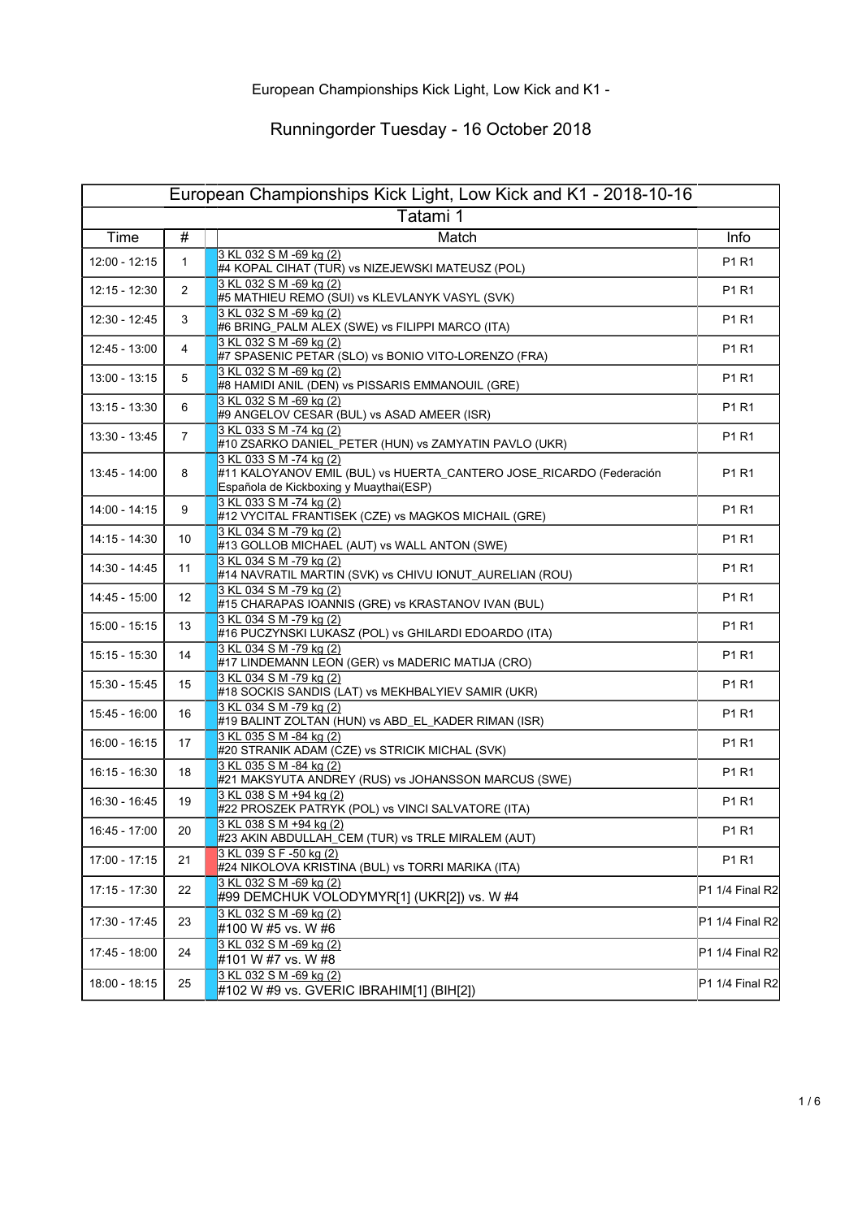| European Championships Kick Light, Low Kick and K1 - 2018-10-16 |                 |                                                                                                                                          |                 |  |
|-----------------------------------------------------------------|-----------------|------------------------------------------------------------------------------------------------------------------------------------------|-----------------|--|
| Tatami 1                                                        |                 |                                                                                                                                          |                 |  |
| Time                                                            | #               | Match                                                                                                                                    | Info            |  |
| $12:00 - 12:15$                                                 | $\mathbf{1}$    | 3 KL 032 S M -69 kg (2)<br>#4 KOPAL CIHAT (TUR) vs NIZEJEWSKI MATEUSZ (POL)                                                              | P1 R1           |  |
| 12:15 - 12:30                                                   | 2               | 3 KL 032 S M -69 kg (2)<br>#5 MATHIEU REMO (SUI) vs KLEVLANYK VASYL (SVK)                                                                | P1 R1           |  |
| 12:30 - 12:45                                                   | 3               | 3 KL 032 S M -69 kg (2)<br>#6 BRING_PALM ALEX (SWE) vs FILIPPI MARCO (ITA)                                                               | P1 R1           |  |
| 12:45 - 13:00                                                   | 4               | 3 KL 032 S M -69 kg (2)<br>#7 SPASENIC PETAR (SLO) vs BONIO VITO-LORENZO (FRA)                                                           | P1 R1           |  |
| 13:00 - 13:15                                                   | 5               | 3 KL 032 S M -69 kg (2)<br>#8 HAMIDI ANIL (DEN) vs PISSARIS EMMANOUIL (GRE)                                                              | P1 R1           |  |
| 13:15 - 13:30                                                   | 6               | 3 KL 032 S M -69 kg (2)<br>#9 ANGELOV CESAR (BUL) vs ASAD AMEER (ISR)                                                                    | P1 R1           |  |
| 13:30 - 13:45                                                   | $\overline{7}$  | 3 KL 033 S M -74 kg (2)<br>#10 ZSARKO DANIEL_PETER (HUN) vs ZAMYATIN PAVLO (UKR)                                                         | P1 R1           |  |
| 13:45 - 14:00                                                   | 8               | 3 KL 033 S M -74 kg (2)<br>#11 KALOYANOV EMIL (BUL) vs HUERTA_CANTERO JOSE_RICARDO (Federación<br>Española de Kickboxing y Muaythai(ESP) | P1 R1           |  |
| 14:00 - 14:15                                                   | 9               | 3 KL 033 S M -74 kg (2)<br>#12 VYCITAL FRANTISEK (CZE) vs MAGKOS MICHAIL (GRE)                                                           | P1 R1           |  |
| 14:15 - 14:30                                                   | 10              | 3 KL 034 S M -79 kg (2)<br>#13 GOLLOB MICHAEL (AUT) vs WALL ANTON (SWE)                                                                  | P1 R1           |  |
| 14:30 - 14:45                                                   | 11              | 3 KL 034 S M -79 kg (2)<br>#14 NAVRATIL MARTIN (SVK) vs CHIVU IONUT_AURELIAN (ROU)                                                       | P1 R1           |  |
| 14:45 - 15:00                                                   | 12 <sup>°</sup> | 3 KL 034 S M -79 kg (2)<br>#15 CHARAPAS IOANNIS (GRE) vs KRASTANOV IVAN (BUL)                                                            | P1 R1           |  |
| 15:00 - 15:15                                                   | 13              | 3 KL 034 S M -79 kg (2)<br>#16 PUCZYNSKI LUKASZ (POL) vs GHILARDI EDOARDO (ITA)                                                          | P1 R1           |  |
| 15:15 - 15:30                                                   | 14              | 3 KL 034 S M -79 kg (2)<br>#17 LINDEMANN LEON (GER) vs MADERIC MATIJA (CRO)                                                              | P1 R1           |  |
| 15:30 - 15:45                                                   | 15              | 3 KL 034 S M -79 kg (2)<br>#18 SOCKIS SANDIS (LAT) vs MEKHBALYIEV SAMIR (UKR)                                                            | P1 R1           |  |
| 15:45 - 16:00                                                   | 16              | 3 KL 034 S M -79 kg (2)<br>#19 BALINT ZOLTAN (HUN) vs ABD_EL_KADER RIMAN (ISR)                                                           | P1 R1           |  |
| 16:00 - 16:15                                                   | 17              | 3 KL 035 S M -84 kg (2)<br>#20 STRANIK ADAM (CZE) vs STRICIK MICHAL (SVK)                                                                | P1 R1           |  |
| 16:15 - 16:30                                                   | 18              | 3 KL 035 S M -84 kg (2)<br>#21 MAKSYUTA ANDREY (RUS) vs JOHANSSON MARCUS (SWE)                                                           | P1 R1           |  |
| 16:30 - 16:45                                                   | 19              | 3 KL 038 S M +94 kg (2)<br>#22 PROSZEK PATRYK (POL) vs VINCI SALVATORE (ITA)                                                             | P1 R1           |  |
| 16:45 - 17:00                                                   | 20              | 3 KL 038 S M +94 kg (2)<br>#23 AKIN ABDULLAH_CEM (TUR) vs TRLE MIRALEM (AUT)                                                             | P1 R1           |  |
| 17:00 - 17:15                                                   | 21              | 3 KL 039 S F -50 kg (2)<br>#24 NIKOLOVA KRISTINA (BUL) vs TORRI MARIKA (ITA)                                                             | P1 R1           |  |
| $17:15 - 17:30$                                                 | 22              | 3 KL 032 S M -69 kg (2)<br>#99 DEMCHUK VOLODYMYR[1] (UKR[2]) vs. W #4                                                                    | P1 1/4 Final R2 |  |
| 17:30 - 17:45                                                   | 23              | 3 KL 032 S M -69 kg (2)<br>#100 W #5 vs. W #6                                                                                            | P1 1/4 Final R2 |  |
| 17:45 - 18:00                                                   | 24              | 3 KL 032 S M -69 kg (2)<br>#101 W #7 vs. W #8                                                                                            | P1 1/4 Final R2 |  |
| 18:00 - 18:15                                                   | 25              | 3 KL 032 S M -69 kg (2)<br>#102 W #9 vs. GVERIC IBRAHIM[1] (BIH[2])                                                                      | P1 1/4 Final R2 |  |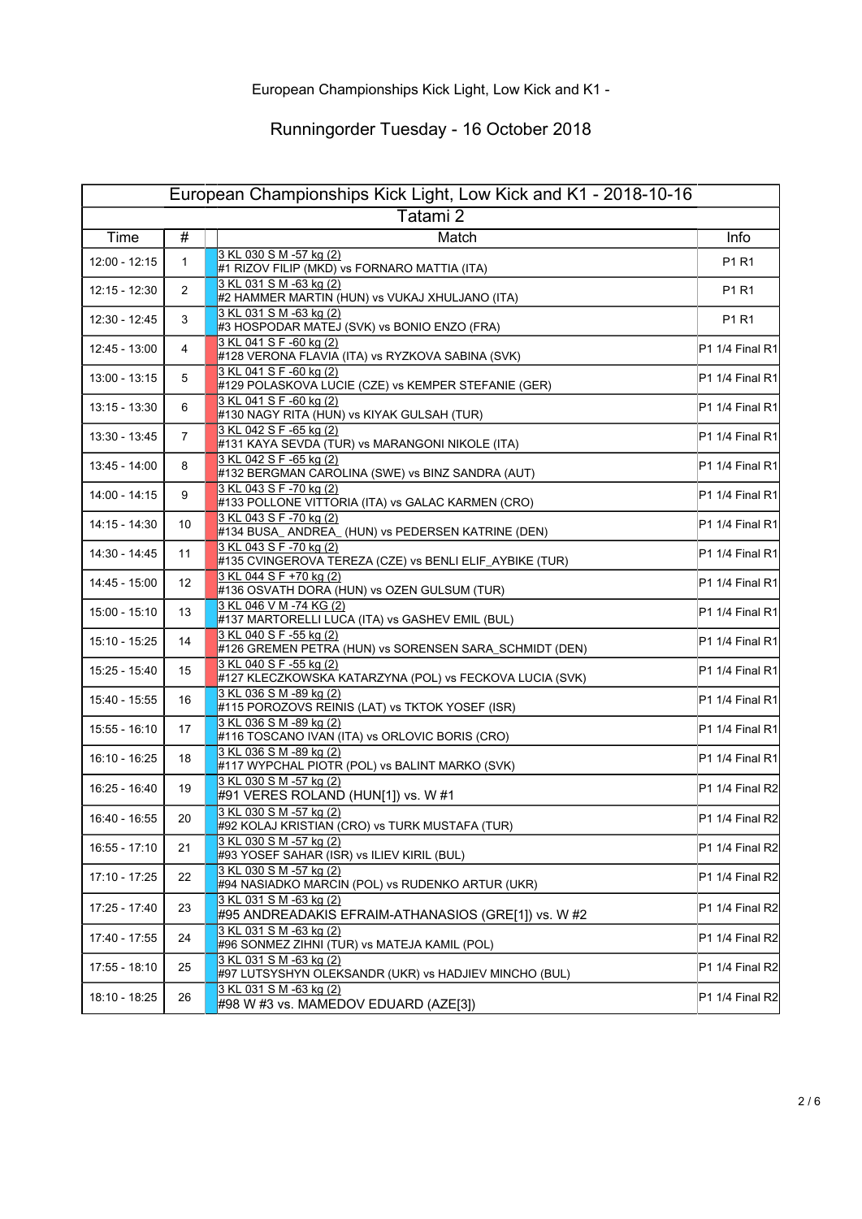| European Championships Kick Light, Low Kick and K1 - 2018-10-16 |                 |                                                                                    |                   |  |
|-----------------------------------------------------------------|-----------------|------------------------------------------------------------------------------------|-------------------|--|
| Tatami <sub>2</sub>                                             |                 |                                                                                    |                   |  |
| Time                                                            | #               | Match                                                                              | Info              |  |
| 12:00 - 12:15                                                   | 1               | 3 KL 030 S M -57 kg (2)<br>#1 RIZOV FILIP (MKD) vs FORNARO MATTIA (ITA)            | P1 R1             |  |
| 12:15 - 12:30                                                   | 2               | 3 KL 031 S M -63 kg (2)<br>#2 HAMMER MARTIN (HUN) vs VUKAJ XHULJANO (ITA)          | P1 R1             |  |
| 12:30 - 12:45                                                   | 3               | 3 KL 031 S M -63 kg (2)<br>#3 HOSPODAR MATEJ (SVK) vs BONIO ENZO (FRA)             | P1 R1             |  |
| 12:45 - 13:00                                                   | 4               | 3 KL 041 S F -60 kg (2)<br>#128 VERONA FLAVIA (ITA) vs RYZKOVA SABINA (SVK)        | $P1 1/4$ Final R1 |  |
| 13:00 - 13:15                                                   | 5               | 3 KL 041 S F -60 kg (2)<br>#129 POLASKOVA LUCIE (CZE) vs KEMPER STEFANIE (GER)     | $P1 1/4$ Final R1 |  |
| 13:15 - 13:30                                                   | 6               | 3 KL 041 S F -60 kg (2)<br>#130 NAGY RITA (HUN) vs KIYAK GULSAH (TUR)              | $P1 1/4$ Final R1 |  |
| 13:30 - 13:45                                                   | $\overline{7}$  | 3 KL 042 S F -65 kg (2)<br>#131 KAYA SEVDA (TUR) vs MARANGONI NIKOLE (ITA)         | $P1 1/4$ Final R1 |  |
| 13:45 - 14:00                                                   | 8               | 3 KL 042 S F -65 kg (2)<br>#132 BERGMAN CAROLINA (SWE) vs BINZ SANDRA (AUT)        | $P1 1/4$ Final R1 |  |
| 14:00 - 14:15                                                   | 9               | 3 KL 043 S F -70 kg (2)<br>#133 POLLONE VITTORIA (ITA) vs GALAC KARMEN (CRO)       | P1 1/4 Final R1   |  |
| 14:15 - 14:30                                                   | 10              | 3 KL 043 S F -70 kg (2)<br>#134 BUSA_ANDREA_ (HUN) vs PEDERSEN KATRINE (DEN)       | $P1 1/4$ Final R1 |  |
| 14:30 - 14:45                                                   | 11              | 3 KL 043 S F -70 kg (2)<br>#135 CVINGEROVA TEREZA (CZE) vs BENLI ELIF_AYBIKE (TUR) | $P1 1/4$ Final R1 |  |
| 14:45 - 15:00                                                   | 12 <sup>°</sup> | 3 KL 044 S F +70 kg (2)<br>#136 OSVATH DORA (HUN) vs OZEN GULSUM (TUR)             | P1 1/4 Final R1   |  |
| 15:00 - 15:10                                                   | 13              | 3 KL 046 V M -74 KG (2)<br>#137 MARTORELLI LUCA (ITA) vs GASHEV EMIL (BUL)         | $P1 1/4$ Final R1 |  |
| 15:10 - 15:25                                                   | 14              | 3 KL 040 S F -55 kg (2)<br>#126 GREMEN PETRA (HUN) vs SORENSEN SARA_SCHMIDT (DEN)  | $P1 1/4$ Final R1 |  |
| 15:25 - 15:40                                                   | 15              | 3 KL 040 S F -55 kg (2)<br>#127 KLECZKOWSKA KATARZYNA (POL) vs FECKOVA LUCIA (SVK) | P1 1/4 Final R1   |  |
| 15:40 - 15:55                                                   | 16              | 3 KL 036 S M -89 kg (2)<br>#115 POROZOVS REINIS (LAT) vs TKTOK YOSEF (ISR)         | $P1 1/4$ Final R1 |  |
| 15:55 - 16:10                                                   | 17              | 3 KL 036 S M -89 kg (2)<br>#116 TOSCANO IVAN (ITA) vs ORLOVIC BORIS (CRO)          | $P1 1/4$ Final R1 |  |
| 16:10 - 16:25                                                   | 18              | 3 KL 036 S M -89 kg (2)<br>#117 WYPCHAL PIOTR (POL) vs BALINT MARKO (SVK)          | P1 1/4 Final R1   |  |
| 16:25 - 16:40                                                   | 19              | 3 KL 030 S M -57 kg (2)<br>#91 VERES ROLAND (HUN[1]) vs. W #1                      | P1 1/4 Final R2   |  |
| 16:40 - 16:55                                                   | 20              | 3 KL 030 S M -57 kg (2)<br>#92 KOLAJ KRISTIAN (CRO) vs TURK MUSTAFA (TUR)          | P1 1/4 Final R2   |  |
| $16:55 - 17:10$                                                 | 21              | 3 KL 030 S M -57 kg (2)<br>#93 YOSEF SAHAR (ISR) vs ILIEV KIRIL (BUL)              | P1 1/4 Final R2   |  |
| 17:10 - 17:25                                                   | 22              | 3 KL 030 S M -57 kg (2)<br>#94 NASIADKO MARCIN (POL) vs RUDENKO ARTUR (UKR)        | P1 1/4 Final R2   |  |
| 17:25 - 17:40                                                   | 23              | 3 KL 031 S M -63 kg (2)<br>#95 ANDREADAKIS EFRAIM-ATHANASIOS (GRE[1]) vs. W #2     | P1 1/4 Final R2   |  |
| 17:40 - 17:55                                                   | 24              | 3 KL 031 S M -63 kg (2)<br>#96 SONMEZ ZIHNI (TUR) vs MATEJA KAMIL (POL)            | P1 1/4 Final R2   |  |
| 17:55 - 18:10                                                   | 25              | 3 KL 031 S M -63 kg (2)<br>#97 LUTSYSHYN OLEKSANDR (UKR) vs HADJIEV MINCHO (BUL)   | P1 1/4 Final R2   |  |
| 18:10 - 18:25                                                   | 26              | 3 KL 031 S M -63 kg (2)<br>#98 W #3 vs. MAMEDOV EDUARD (AZE[3])                    | P1 1/4 Final R2   |  |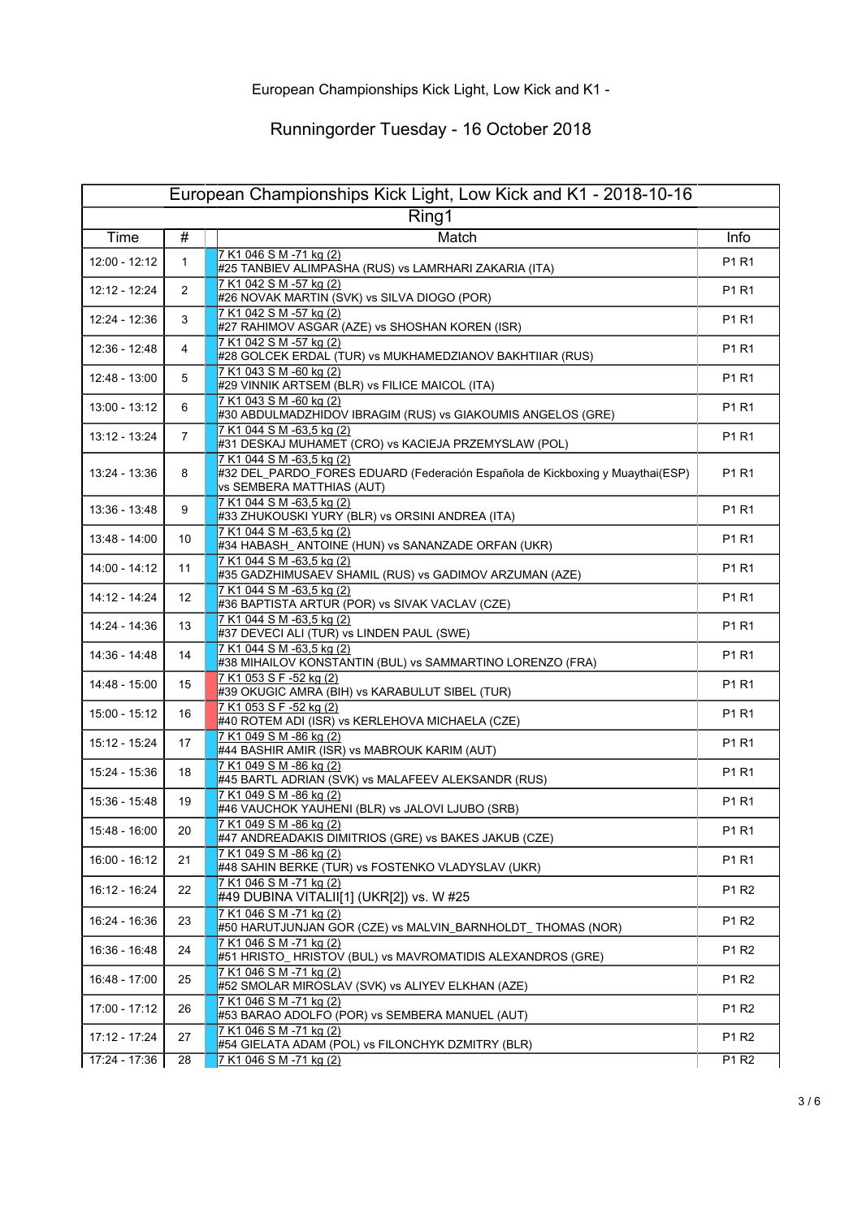|               |                 | European Championships Kick Light, Low Kick and K1 - 2018-10-16                                                                         |                               |
|---------------|-----------------|-----------------------------------------------------------------------------------------------------------------------------------------|-------------------------------|
| Time          | #               | Ring1<br>Match                                                                                                                          | Info                          |
|               |                 | 7 K1 046 S M -71 kg (2)                                                                                                                 |                               |
| 12:00 - 12:12 | 1               | #25 TANBIEV ALIMPASHA (RUS) vs LAMRHARI ZAKARIA (ITA)                                                                                   | P1 R1                         |
| 12:12 - 12:24 | 2               | 7 K1 042 S M -57 kg (2)<br>#26 NOVAK MARTIN (SVK) vs SILVA DIOGO (POR)                                                                  | P1 R1                         |
| 12:24 - 12:36 | 3               | 7 K1 042 S M -57 kg (2)<br>#27 RAHIMOV ASGAR (AZE) vs SHOSHAN KOREN (ISR)                                                               | P1 R1                         |
| 12:36 - 12:48 | 4               | 7 K1 042 S M -57 kg (2)<br>#28 GOLCEK ERDAL (TUR) vs MUKHAMEDZIANOV BAKHTIIAR (RUS)                                                     | P1 R1                         |
| 12:48 - 13:00 | 5               | 7 K1 043 S M -60 kg (2)<br>#29 VINNIK ARTSEM (BLR) vs FILICE MAICOL (ITA)                                                               | P1 R1                         |
| 13:00 - 13:12 | 6               | 7 K1 043 S M -60 kg (2)<br>#30 ABDULMADZHIDOV IBRAGIM (RUS) vs GIAKOUMIS ANGELOS (GRE)                                                  | P1 R1                         |
| 13:12 - 13:24 | $\overline{7}$  | 7 K1 044 S M -63,5 kg (2)<br>#31 DESKAJ MUHAMET (CRO) vs KACIEJA PRZEMYSLAW (POL)                                                       | P1 R1                         |
| 13:24 - 13:36 | 8               | 7 K1 044 S M -63,5 kg (2)<br>#32 DEL_PARDO_FORES EDUARD (Federación Española de Kickboxing y Muaythai(ESP)<br>vs SEMBERA MATTHIAS (AUT) | P <sub>1</sub> R <sub>1</sub> |
| 13:36 - 13:48 | 9               | 7 K1 044 S M -63,5 kg (2)<br>#33 ZHUKOUSKI YURY (BLR) vs ORSINI ANDREA (ITA)                                                            | P1 R1                         |
| 13:48 - 14:00 | 10              | 7 K1 044 S M -63,5 kg (2)<br>#34 HABASH_ ANTOINE (HUN) vs SANANZADE ORFAN (UKR)                                                         | P1 R1                         |
| 14:00 - 14:12 | 11              | 7 K1 044 S M -63,5 kg (2)<br>#35 GADZHIMUSAEV SHAMIL (RUS) vs GADIMOV ARZUMAN (AZE)                                                     | P1 R1                         |
| 14:12 - 14:24 | 12 <sup>°</sup> | 7 K1 044 S M -63,5 kg (2)<br>#36 BAPTISTA ARTUR (POR) vs SIVAK VACLAV (CZE)                                                             | P1 R1                         |
| 14:24 - 14:36 | 13              | 7 K1 044 S M -63,5 kg (2)<br>#37 DEVECI ALI (TUR) vs LINDEN PAUL (SWE)                                                                  | P1 R1                         |
| 14:36 - 14:48 | 14              | 7 K1 044 S M -63,5 kg (2)<br>#38 MIHAILOV KONSTANTIN (BUL) vs SAMMARTINO LORENZO (FRA)                                                  | P1 R1                         |
| 14:48 - 15:00 | 15              | 7 K1 053 S F -52 kg (2)<br>#39 OKUGIC AMRA (BIH) vs KARABULUT SIBEL (TUR)                                                               | P1 R1                         |
| 15:00 - 15:12 | 16              | 7 K1 053 S F -52 kg (2)<br>#40 ROTEM ADI (ISR) vs KERLEHOVA MICHAELA (CZE)                                                              | P1 R1                         |
| 15:12 - 15:24 | 17              | 7 K1 049 S M -86 kg (2)<br>#44 BASHIR AMIR (ISR) vs MABROUK KARIM (AUT)                                                                 | P1 R1                         |
| 15:24 - 15:36 | 18              | 7 K1 049 S M -86 kg (2)<br>#45 BARTL ADRIAN (SVK) vs MALAFEEV ALEKSANDR (RUS)                                                           | P1 R1                         |
| 15:36 - 15:48 | 19              | 7 K1 049 S M -86 kg (2)<br>#46 VAUCHOK YAUHENI (BLR) vs JALOVI LJUBO (SRB)                                                              | P1 R1                         |
| 15:48 - 16:00 | 20              | 7 K1 049 S M -86 kg (2)<br>#47 ANDREADAKIS DIMITRIOS (GRE) vs BAKES JAKUB (CZE)                                                         | P1 R1                         |
| 16:00 - 16:12 | 21              | 7 K1 049 S M -86 kg (2)<br>#48 SAHIN BERKE (TUR) vs FOSTENKO VLADYSLAV (UKR)                                                            | P1 R1                         |
| 16:12 - 16:24 | 22              | 7 K1 046 S M -71 kg (2)<br>#49 DUBINA VITALII[1] (UKR[2]) vs. W #25                                                                     | P1 R2                         |
| 16:24 - 16:36 | 23              | 7 K1 046 S M -71 kg (2)<br>#50 HARUTJUNJAN GOR (CZE) vs MALVIN_BARNHOLDT_ THOMAS (NOR)                                                  | P1 R2                         |
| 16:36 - 16:48 | 24              | 7 K1 046 S M -71 kg (2)<br>#51 HRISTO_HRISTOV (BUL) vs MAVROMATIDIS ALEXANDROS (GRE)                                                    | P1 R2                         |
| 16:48 - 17:00 | 25              | 7 K1 046 S M -71 kg (2)<br>#52 SMOLAR MIROSLAV (SVK) vs ALIYEV ELKHAN (AZE)                                                             | P1 R2                         |
| 17:00 - 17:12 | 26              | 7 K1 046 S M -71 ka (2)<br>#53 BARAO ADOLFO (POR) vs SEMBERA MANUEL (AUT)                                                               | P1 R2                         |
| 17:12 - 17:24 | 27              | 7 K1 046 S M -71 kg (2)<br>#54 GIELATA ADAM (POL) vs FILONCHYK DZMITRY (BLR)                                                            | P1 R2                         |
| 17:24 - 17:36 | 28              | 7 K1 046 S M -71 kg (2)                                                                                                                 | P1 R2                         |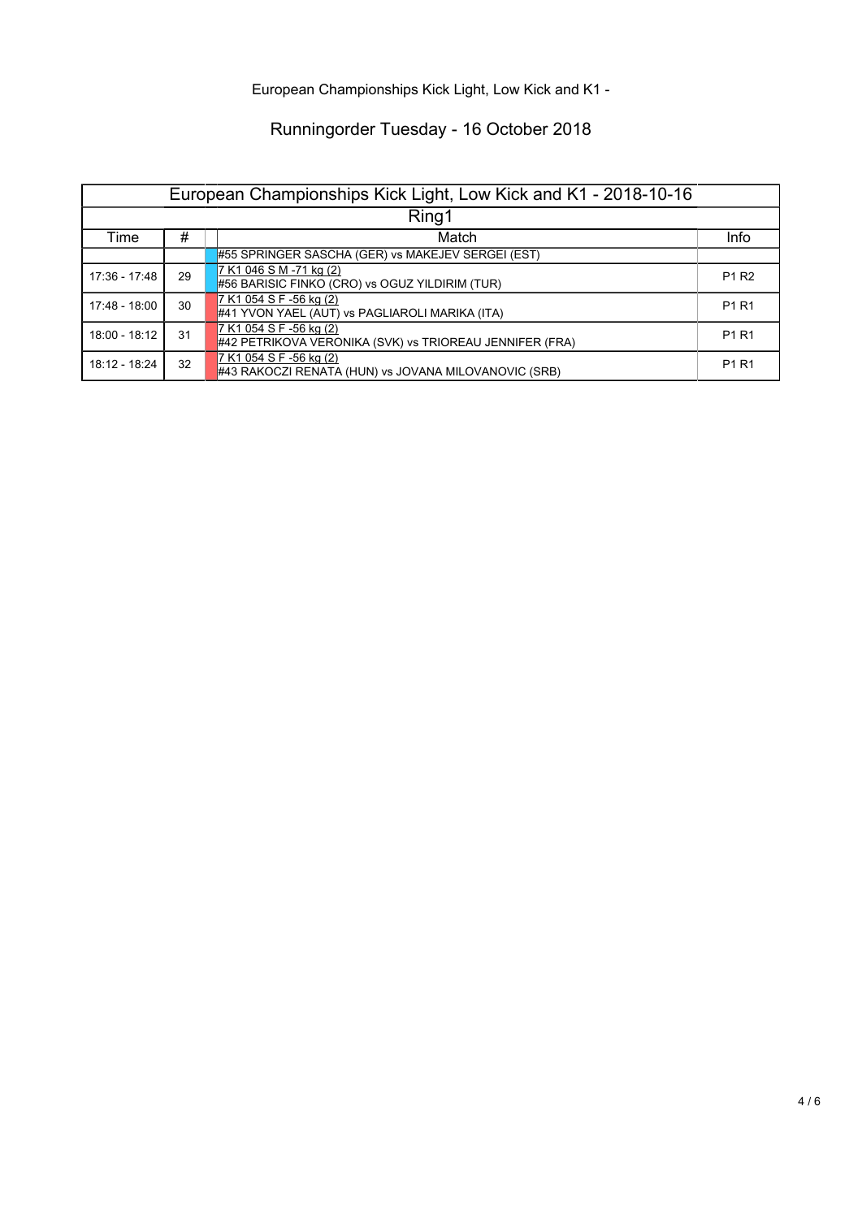European Championships Kick Light, Low Kick and K1 -

| European Championships Kick Light, Low Kick and K1 - 2018-10-16 |    |                                                                                    |                               |  |
|-----------------------------------------------------------------|----|------------------------------------------------------------------------------------|-------------------------------|--|
| Ring1                                                           |    |                                                                                    |                               |  |
| Time                                                            | #  | Match                                                                              | Info                          |  |
|                                                                 |    | #55 SPRINGER SASCHA (GER) vs MAKEJEV SERGEI (EST)                                  |                               |  |
| 17:36 - 17:48                                                   | 29 | 7 K1 046 S M -71 kg (2)<br>#56 BARISIC FINKO (CRO) vs OGUZ YILDIRIM (TUR)          | P <sub>1</sub> R <sub>2</sub> |  |
| 17:48 - 18:00                                                   | 30 | 7 K1 054 S F -56 kg (2)<br>#41 YVON YAEL (AUT) vs PAGLIAROLI MARIKA (ITA)          | P1 R1                         |  |
| 18:00 - 18:12                                                   | 31 | 7 K1 054 S F -56 kg (2)<br>#42 PETRIKOVA VERONIKA (SVK) vs TRIOREAU JENNIFER (FRA) | P1 R1                         |  |
| 18:12 - 18:24                                                   | 32 | 7 K1 054 S F -56 kg (2)<br>#43 RAKOCZI RENATA (HUN) vs JOVANA MILOVANOVIC (SRB)    | P1 R1                         |  |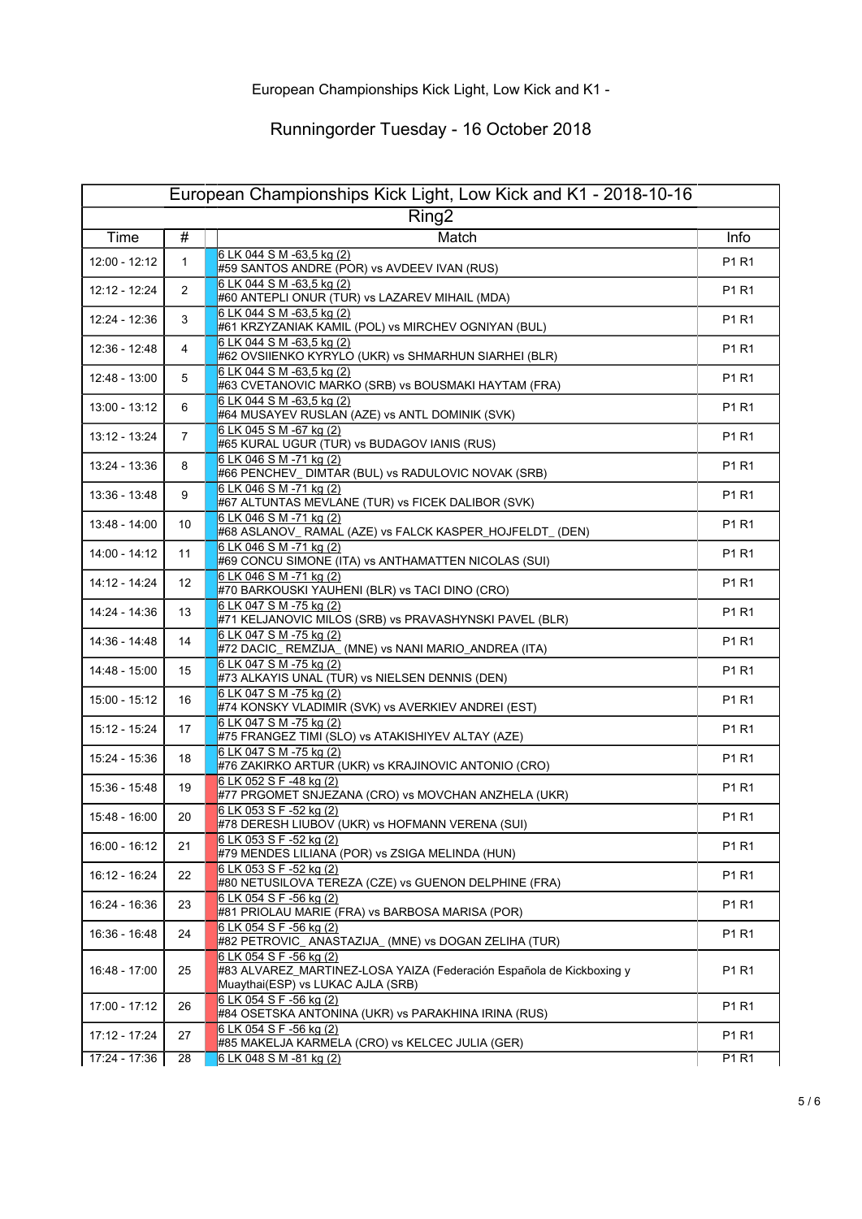| European Championships Kick Light, Low Kick and K1 - 2018-10-16 |                   |                                                                                                                                      |              |  |
|-----------------------------------------------------------------|-------------------|--------------------------------------------------------------------------------------------------------------------------------------|--------------|--|
|                                                                 |                   | Ring <sub>2</sub>                                                                                                                    |              |  |
| Time                                                            | #                 | Match                                                                                                                                | Info         |  |
| 12:00 - 12:12                                                   | $\mathbf{1}$      | 6 LK 044 S M -63,5 kg (2)<br>#59 SANTOS ANDRE (POR) vs AVDEEV IVAN (RUS)                                                             | P1 R1        |  |
| 12:12 - 12:24                                                   | 2                 | 6 LK 044 S M -63,5 kg (2)<br>#60 ANTEPLI ONUR (TUR) vs LAZAREV MIHAIL (MDA)                                                          | P1 R1        |  |
| 12:24 - 12:36                                                   | 3                 | 6 LK 044 S M -63,5 kg (2)<br>#61 KRZYZANIAK KAMIL (POL) vs MIRCHEV OGNIYAN (BUL)                                                     | P1 R1        |  |
| 12:36 - 12:48                                                   | 4                 | 6 LK 044 S M -63,5 kg (2)<br>#62 OVSIIENKO KYRYLO (UKR) vs SHMARHUN SIARHEI (BLR)                                                    | P1 R1        |  |
| 12:48 - 13:00                                                   | 5                 | 6 LK 044 S M -63.5 ka (2)<br>#63 CVETANOVIC MARKO (SRB) vs BOUSMAKI HAYTAM (FRA)                                                     | P1 R1        |  |
| 13:00 - 13:12                                                   | 6                 | 6 LK 044 S M -63,5 kg (2)<br>#64 MUSAYEV RUSLAN (AZE) vs ANTL DOMINIK (SVK)                                                          | P1 R1        |  |
| 13:12 - 13:24                                                   | $\overline{7}$    | 6 LK 045 S M -67 kg (2)<br>#65 KURAL UGUR (TUR) vs BUDAGOV IANIS (RUS)                                                               | P1 R1        |  |
| 13:24 - 13:36                                                   | 8                 | 6 LK 046 S M -71 kg (2)<br>#66 PENCHEV_ DIMTAR (BUL) vs RADULOVIC NOVAK (SRB)                                                        | P1 R1        |  |
| 13:36 - 13:48                                                   | 9                 | 6 LK 046 S M -71 kg $(2)$<br>#67 ALTUNTAS MEVLANE (TUR) vs FICEK DALIBOR (SVK)                                                       | P1 R1        |  |
| 13:48 - 14:00                                                   | 10                | 6 LK 046 S M -71 kg (2)<br>#68 ASLANOV_ RAMAL (AZE) vs FALCK KASPER_HOJFELDT_ (DEN)                                                  | P1 R1        |  |
| 14:00 - 14:12                                                   | 11                | 6 LK 046 S M -71 kg (2)<br>#69 CONCU SIMONE (ITA) vs ANTHAMATTEN NICOLAS (SUI)                                                       | P1 R1        |  |
| 14:12 - 14:24                                                   | $12 \overline{ }$ | 6 LK 046 S M -71 kg (2)<br>#70 BARKOUSKI YAUHENI (BLR) vs TACI DINO (CRO)                                                            | P1 R1        |  |
| 14:24 - 14:36                                                   | 13                | 6 LK 047 S M -75 kg (2)<br>#71 KELJANOVIC MILOS (SRB) vs PRAVASHYNSKI PAVEL (BLR)                                                    | P1 R1        |  |
| 14:36 - 14:48                                                   | 14                | 6 LK 047 S M -75 kg (2)<br>#72 DACIC_ REMZIJA_ (MNE) vs NANI MARIO_ANDREA (ITA)                                                      | P1 R1        |  |
| 14:48 - 15:00                                                   | 15                | 6 LK 047 S M -75 kg (2)<br>#73 ALKAYIS UNAL (TUR) vs NIELSEN DENNIS (DEN)                                                            | P1 R1        |  |
| 15:00 - 15:12                                                   | 16                | 6 LK 047 S M -75 kg (2)<br>#74 KONSKY VLADIMIR (SVK) vs AVERKIEV ANDREI (EST)                                                        | P1 R1        |  |
| 15:12 - 15:24                                                   | 17                | 6 LK 047 S M -75 kg (2)<br>#75 FRANGEZ TIMI (SLO) vs ATAKISHIYEV ALTAY (AZE)                                                         | P1 R1        |  |
| 15:24 - 15:36                                                   | 18                | 6 LK 047 S M -75 kg (2)<br>#76 ZAKIRKO ARTUR (UKR) vs KRAJINOVIC ANTONIO (CRO)                                                       | P1 R1        |  |
| 15:36 - 15:48                                                   | 19                | 6 LK 052 S F -48 kg (2)<br>#77 PRGOMET SNJEZANA (CRO) vs MOVCHAN ANZHELA (UKR)                                                       | P1 R1        |  |
| 15:48 - 16:00                                                   | 20                | 6 LK 053 S F -52 kg (2)<br>#78 DERESH LIUBOV (UKR) vs HOFMANN VERENA (SUI)                                                           | P1 R1        |  |
| 16:00 - 16:12                                                   | 21                | 6 LK 053 S F -52 kg (2)<br>#79 MENDES LILIANA (POR) vs ZSIGA MELINDA (HUN)                                                           | P1 R1        |  |
| 16:12 - 16:24                                                   | 22                | 6 LK 053 S F -52 kg (2)<br>#80 NETUSILOVA TEREZA (CZE) vs GUENON DELPHINE (FRA)                                                      | P1 R1        |  |
| 16:24 - 16:36                                                   | 23                | 6 LK 054 S F -56 kg (2)<br>#81 PRIOLAU MARIE (FRA) vs BARBOSA MARISA (POR)                                                           | P1 R1        |  |
| 16:36 - 16:48                                                   | 24                | 6 LK 054 S F -56 kg (2)<br>#82 PETROVIC_ANASTAZIJA_ (MNE) vs DOGAN ZELIHA (TUR)                                                      | P1 R1        |  |
| 16:48 - 17:00                                                   | 25                | 6 LK 054 S F -56 kg (2)<br>#83 ALVAREZ_MARTINEZ-LOSA YAIZA (Federación Española de Kickboxing y<br>Muaythai(ESP) vs LUKAC AJLA (SRB) | P1 R1        |  |
| 17:00 - 17:12                                                   | 26                | 6 LK 054 S F -56 kg (2)<br>#84 OSETSKA ANTONINA (UKR) vs PARAKHINA IRINA (RUS)                                                       | P1 R1        |  |
| 17:12 - 17:24                                                   | 27                | 6 LK 054 S F -56 kg (2)<br>#85 MAKELJA KARMELA (CRO) vs KELCEC JULIA (GER)                                                           | P1 R1        |  |
| $17:24 - 17:36$                                                 | 28                | 6 LK 048 S M -81 kg $(2)$                                                                                                            | <b>P1 R1</b> |  |